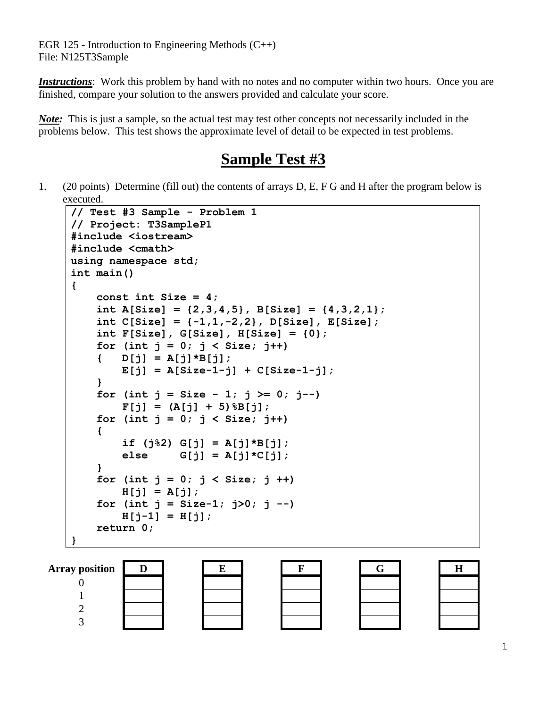EGR 125 - Introduction to Engineering Methods  $(C_{++})$ File: N125T3Sample

*Instructions*: Work this problem by hand with no notes and no computer within two hours. Once you are finished, compare your solution to the answers provided and calculate your score.

*Note*: This is just a sample, so the actual test may test other concepts not necessarily included in the problems below. This test shows the approximate level of detail to be expected in test problems.

## **Sample Test #3**

1. (20 points) Determine (fill out) the contents of arrays D, E, F G and H after the program below is executed.

```
// Test #3 Sample - Problem 1
// Project: T3SampleP1
#include <iostream>
#include <cmath>
using namespace std;
int main()
{
     const int Size = 4;
     int A[Size] = {2,3,4,5}, B[Size] = {4,3,2,1};
     int C[Size] = {-1,1,-2,2}, D[Size], E[Size];
     int F[Size], G[Size], H[Size] = {0};
    for (int j = 0; j < Size; j+1)
     { D[j] = A[j]*B[j];
        E[j] = A[Size-1-j] + C[Size-1-j]; }
    for (int j = Size - 1; j \ge 0; j--)F[j] = (A[j] + 5) %B[j];
    for (int j = 0; j < Size; j++)
     {
         if (j%2) G[j] = A[j]*B[j];
        \text{else} \text{G}[j] = A[j] * C[j]; }
    for (int j = 0; j < Size; j +)
         H[j] = A[j];
    for (int j = Size-1; j>0; j --)H[j-1] = H[j]; return 0; 
}
```






| Ġ |  |  |
|---|--|--|
|   |  |  |
|   |  |  |
|   |  |  |
|   |  |  |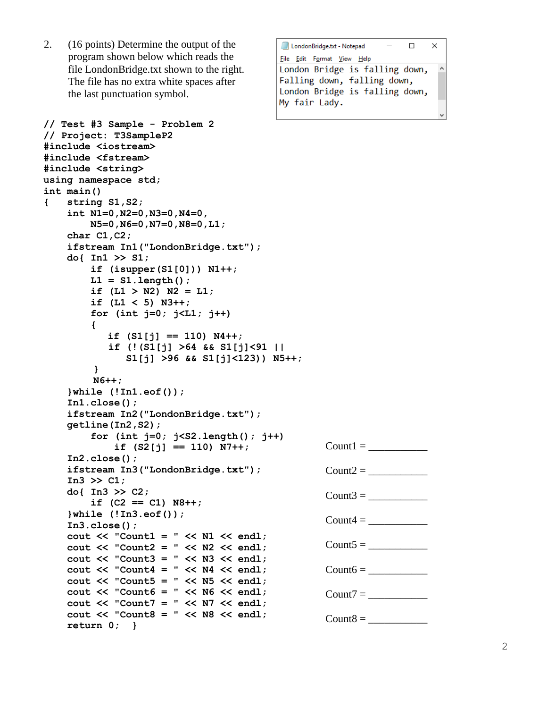2. (16 points) Determine the output of the program shown below which reads the file LondonBridge.txt shown to the right. The file has no extra white spaces after the last punctuation symbol.

```
// Test #3 Sample - Problem 2
// Project: T3SampleP2
#include <iostream>
#include <fstream>
#include <string>
using namespace std;
int main()
{ string S1,S2;
     int N1=0,N2=0,N3=0,N4=0,
        N5=0,N6=0,N7=0,N8=0,L1;
     char C1,C2;
     ifstream In1("LondonBridge.txt");
     do{ In1 >> S1;
        if (isupper(S1[0])) N1++;
        L1 = S1.length();
        if (L1 > N2) N2 = L1;
        if (L1 < 5) N3++;
        for (int j=0; j<L1; j++)
 {
          if (S1[j] == 110) N4++;
           if (!(S1[j] >64 && S1[j]<91 || 
              S1[j] >96 && S1[j]<123)) N5++;
 }
         N6++; 
     }while (!In1.eof()); 
     In1.close();
     ifstream In2("LondonBridge.txt");
     getline(In2,S2);
         for (int j=0; j<S2.length(); j++)
             if (S2[j] == 110) N7++; 
     In2.close();
     ifstream In3("LondonBridge.txt");
     In3 >> C1;
     do{ In3 >> C2;
        if (C2 == C1) N8++;
     }while (!In3.eof());
     In3.close();
     cout << "Count1 = " << N1 << endl;
     cout << "Count2 = " << N2 << endl;
     cout << "Count3 = " << N3 << endl;
    cout << "Count4 = " << N4 << endl;
     cout << "Count5 = " << N5 << endl;
     cout << "Count6 = " << N6 << endl;
     cout << "Count7 = " << N7 << endl;
     cout << "Count8 = " << N8 << endl;
    return 0; }
                                               Count1 = \_Count2 =Count3 =Count4 = \_Count5 =Count6 = \_Count7 =Count8 =
```

| LondonBridge.txt - Notepad<br>П | $\times$ |   |
|---------------------------------|----------|---|
| File Edit Format View Help      |          |   |
| London Bridge is falling down,  |          | ۸ |
| Falling down, falling down,     |          |   |
| London Bridge is falling down,  |          |   |
| My fair Lady.                   |          |   |
|                                 |          |   |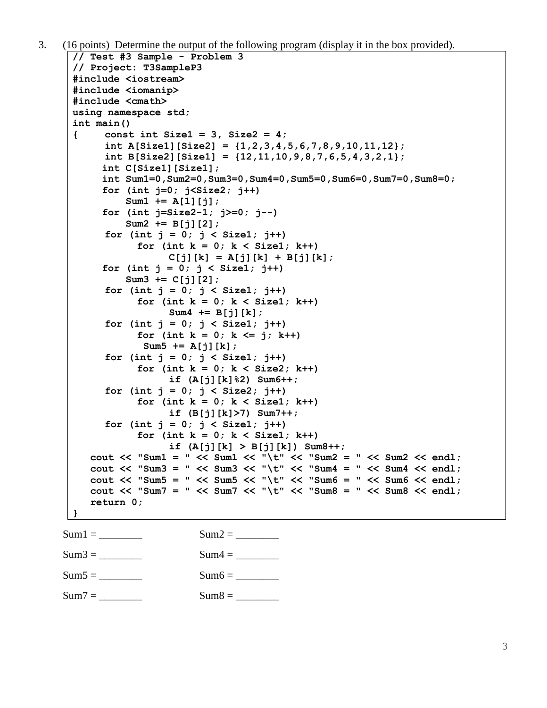```
3. (16 points) Determine the output of the following program (display it in the box provided). 
     // Test #3 Sample - Problem 3
      // Project: T3SampleP3
      #include <iostream>
      #include <iomanip>
      #include <cmath>
     using namespace std;
      int main()
      { const int Size1 = 3, Size2 = 4;
           int A[Size1][Size2] = {1,2,3,4,5,6,7,8,9,10,11,12};
           int B[Size2][Size1] = {12,11,10,9,8,7,6,5,4,3,2,1}; 
            int C[Size1][Size1];
            int Sum1=0,Sum2=0,Sum3=0,Sum4=0,Sum5=0,Sum6=0,Sum7=0,Sum8=0; 
            for (int j=0; j<Size2; j++)
                Sum1 += A[1][j];
            for (int j=Size2-1; j>=0; j--)
                Sum2 += B[j][2];
           for (int j = 0; j < Size1; j++)
                 for (int k = 0; k < Size1; k++)
                      C[j][k] = A[j][k] + B[j][k]; for (int j = 0; j < Size1; j++)
                Sum3 += C[j][2];
           for (int j = 0; j < Size1; j++)
                 for (int k = 0; k < Size1; k++)
                      Sum4 += B[j][k];
           for (int j = 0; j < Size1; j++)
                 for (int k = 0; k \le j; k++)
                   Sum5 += A[j][k];
           for (int j = 0; j < Size1; j++)
                 for (int k = 0; k < Size2; k++)
                      if (A[j][k]%2) Sum6++;
           for (int j = 0; j < Size2; j++)
                 for (int k = 0; k < Size1; k++)
                      if (B[j][k]>7) Sum7++;
           for (int j = 0; j < Size1; j++)
                 for (int k = 0; k < Size1; k++)
                      if (A[j][k] > B[j][k]) Sum8++;
         cout << "Sum1 = " << Sum1 << "\t" << "Sum2 = " << Sum2 << endl;
          cout << "Sum3 = " << Sum3 << "\t" << "Sum4 = " << Sum4 << endl;
         cout << "Sum5 = " << Sum5 << "\t" << "Sum6 = " << Sum6 << endl;
         cout << "Sum7 = " << Sum7 << "\t" << "Sum8 = " << Sum8 << endl;
          return 0; 
      }
    Sum1 = \_ Sum2 = \_Sum3 = ________ Sum4 = ________
    Sum5 = Sum6 =
```

```
Sum7 = Sum8 =
```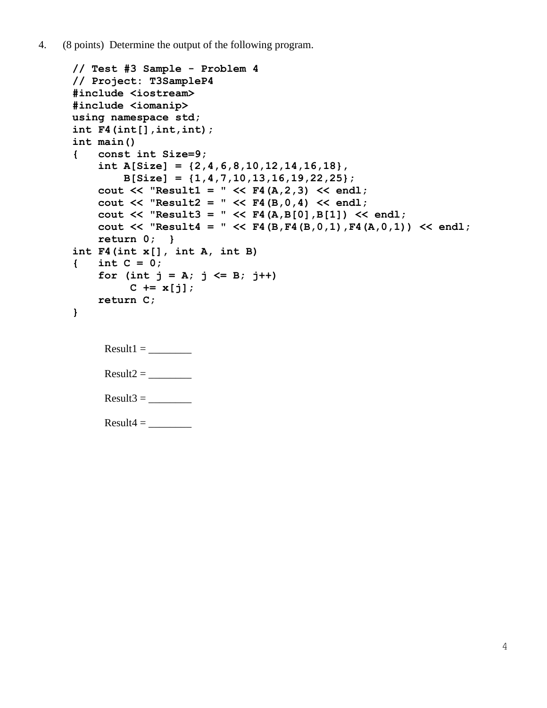4. (8 points) Determine the output of the following program.

```
// Test #3 Sample - Problem 4
// Project: T3SampleP4
#include <iostream>
#include <iomanip>
using namespace std;
int F4(int[],int,int);
int main()
{ const int Size=9;
     int A[Size] = {2,4,6,8,10,12,14,16,18},
         B[Size] = {1,4,7,10,13,16,19,22,25};
     cout << "Result1 = " << F4(A,2,3) << endl;
     cout << "Result2 = " << F4(B,0,4) << endl;
     cout << "Result3 = " << F4(A,B[0],B[1]) << endl;
     cout << "Result4 = " << F4(B,F4(B,0,1),F4(A,0,1)) << endl;
     return 0; }
int F4(int x[], int A, int B)
{ int C = 0; 
    for (int j = A; j \le B; j++)C := x[j]; return C;
}
     Result1 = \_Result2 = \_Result3 = \_Result4 =
```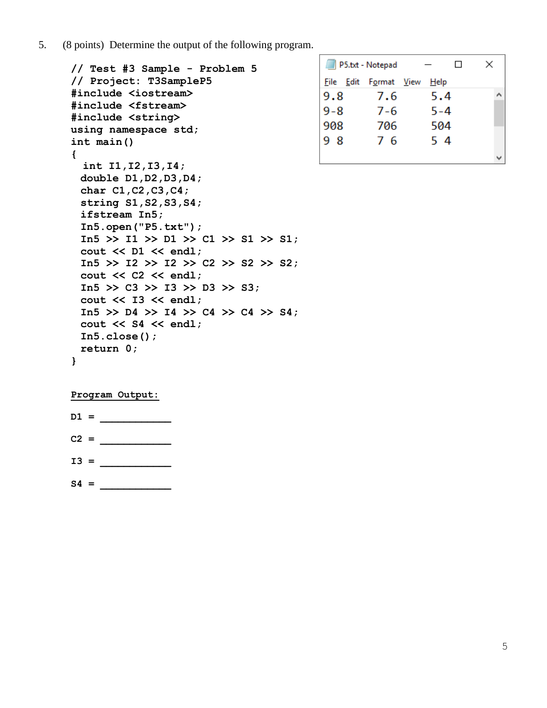5. (8 points) Determine the output of the following program.

```
 // Test #3 Sample - Problem 5
// Project: T3SampleP5
#include <iostream>
#include <fstream>
#include <string>
using namespace std;
int main()
{ 
  int I1,I2,I3,I4;
  double D1,D2,D3,D4;
  char C1,C2,C3,C4;
  string S1,S2,S3,S4;
  ifstream In5;
  In5.open("P5.txt");
  In5 >> I1 >> D1 >> C1 >> S1 >> S1;
  cout << D1 << endl; 
  In5 >> I2 >> I2 >> C2 >> S2 >> S2;
  cout << C2 << endl; 
  In5 >> C3 >> I3 >> D3 >> S3;
  cout << I3 << endl; 
  In5 >> D4 >> I4 >> C4 >> C4 >> S4;
  cout << S4 << endl; 
  In5.close();
  return 0; 
}
```

|         | P5.txt - Notepad      |         | ΙI | × |  |
|---------|-----------------------|---------|----|---|--|
|         | File Edit Format View | Help    |    |   |  |
| 9.8     | 7.6                   | 5.4     |    |   |  |
| $9 - 8$ | $7 - 6$               | $5 - 4$ |    |   |  |
| 908     | 706                   | 504     |    |   |  |
| 98      | 76                    | 54      |    |   |  |
|         |                       |         |    |   |  |

## **Program Output:**

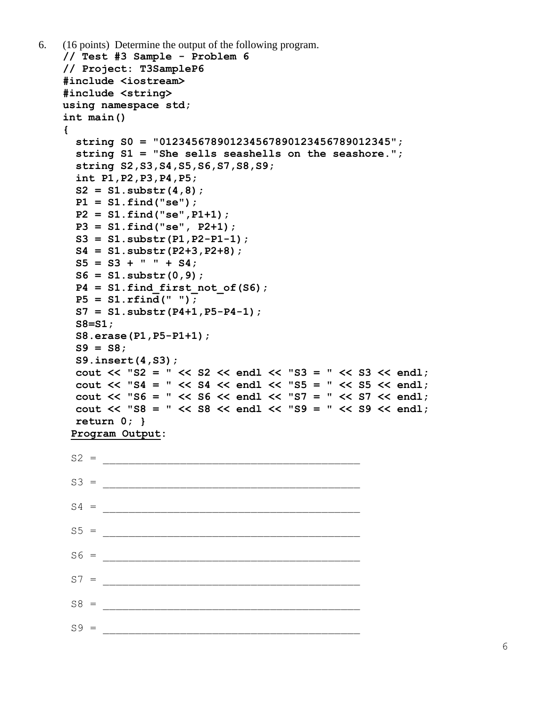```
6. (16 points) Determine the output of the following program. 
   // Test #3 Sample - Problem 6
   // Project: T3SampleP6
   #include <iostream>
   #include <string>
   using namespace std;
   int main()
   { 
      string S0 = "012345678901234567890123456789012345"; 
      string S1 = "She sells seashells on the seashore.";
      string S2,S3,S4,S5,S6,S7,S8,S9;
      int P1,P2,P3,P4,P5;
      S2 = S1.substr(4,8);
      P1 = S1.find("se");
      P2 = S1.find("se",P1+1);
      P3 = S1.find("se", P2+1);
      S3 = S1.substr(P1,P2-P1-1);
      S4 = S1.substr(P2+3,P2+8);
     S5 = S3 + " " + S4; S6 = S1.substr(0,9);
     P4 = S1. find first not of(S6);
      P5 = S1.rfind(" ");
      S7 = S1.substr(P4+1,P5-P4-1);
      S8=S1;
      S8.erase(P1,P5-P1+1); 
      S9 = S8;
      S9.insert(4,S3); 
      cout << "S2 = " << S2 << endl << "S3 = " << S3 << endl;
      cout << "S4 = " << S4 << endl << "S5 = " << S5 << endl;
      cout << "S6 = " << S6 << endl << "S7 = " << S7 << endl;
      cout << "S8 = " << S8 << endl << "S9 = " << S9 << endl;
      return 0; }
    Program Output:
    S2 =S3 =S4 =S5 = ________________________________________
    S6 =S7 = ________________________________________
    S8 = ________________________________________
    S9 =
```